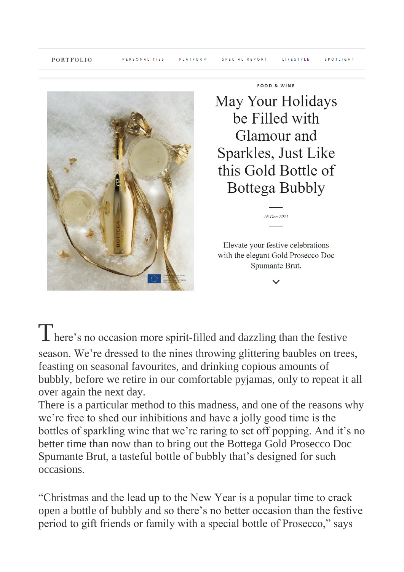

FOOD & WINE

May Your Holidays be Filled with Glamour and Sparkles, Just Like this Gold Bottle of Bottega Bubbly

Elevate your festive celebrations with the elegant Gold Prosecco Doc Spumante Brut.

 $16$  Dec  $2021$ 

There's no occasion more spirit-filled and dazzling than the festive season. We're dressed to the nines throwing glittering baubles on trees, feasting on seasonal favourites, and drinking copious amounts of bubbly, before we retire in our comfortable pyjamas, only to repeat it all over again the next day.

There is a particular method to this madness, and one of the reasons why we're free to shed our inhibitions and have a jolly good time is the bottles of sparkling wine that we're raring to set off popping. And it's no better time than now than to bring out the Bottega Gold Prosecco Doc Spumante Brut, a tasteful bottle of bubbly that's designed for such occasions.

"Christmas and the lead up to the New Year is a popular time to crack open a bottle of bubbly and so there's no better occasion than the festive period to gift friends or family with a special bottle of Prosecco," says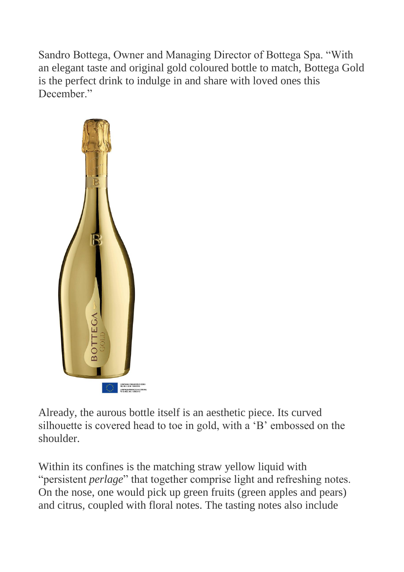Sandro Bottega, Owner and Managing Director of Bottega Spa. "With an elegant taste and original gold coloured bottle to match, Bottega Gold is the perfect drink to indulge in and share with loved ones this December."



Already, the aurous bottle itself is an aesthetic piece. Its curved silhouette is covered head to toe in gold, with a 'B' embossed on the shoulder.

Within its confines is the matching straw yellow liquid with "persistent *perlage*" that together comprise light and refreshing notes. On the nose, one would pick up green fruits (green apples and pears) and citrus, coupled with floral notes. The tasting notes also include